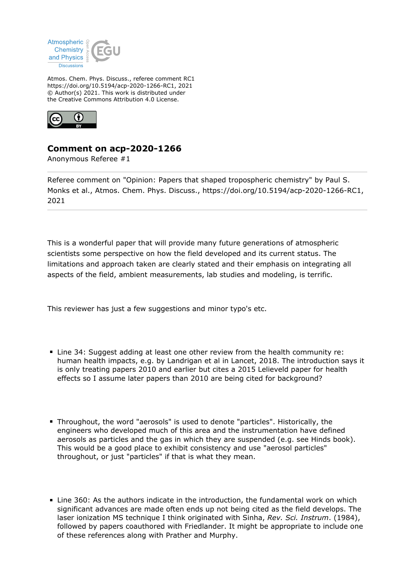

Atmos. Chem. Phys. Discuss., referee comment RC1 https://doi.org/10.5194/acp-2020-1266-RC1, 2021 © Author(s) 2021. This work is distributed under the Creative Commons Attribution 4.0 License.



## **Comment on acp-2020-1266**

Anonymous Referee #1

Referee comment on "Opinion: Papers that shaped tropospheric chemistry" by Paul S. Monks et al., Atmos. Chem. Phys. Discuss., https://doi.org/10.5194/acp-2020-1266-RC1, 2021

This is a wonderful paper that will provide many future generations of atmospheric scientists some perspective on how the field developed and its current status. The limitations and approach taken are clearly stated and their emphasis on integrating all aspects of the field, ambient measurements, lab studies and modeling, is terrific.

This reviewer has just a few suggestions and minor typo's etc.

- Line 34: Suggest adding at least one other review from the health community re: human health impacts, e.g. by Landrigan et al in Lancet, 2018. The introduction says it is only treating papers 2010 and earlier but cites a 2015 Lelieveld paper for health effects so I assume later papers than 2010 are being cited for background?
- Throughout, the word "aerosols" is used to denote "particles". Historically, the engineers who developed much of this area and the instrumentation have defined aerosols as particles and the gas in which they are suspended (e.g. see Hinds book). This would be a good place to exhibit consistency and use "aerosol particles" throughout, or just "particles" if that is what they mean.
- Line 360: As the authors indicate in the introduction, the fundamental work on which significant advances are made often ends up not being cited as the field develops. The laser ionization MS technique I think originated with Sinha, *Rev. Sci. Instrum*. (1984), followed by papers coauthored with Friedlander. It might be appropriate to include one of these references along with Prather and Murphy.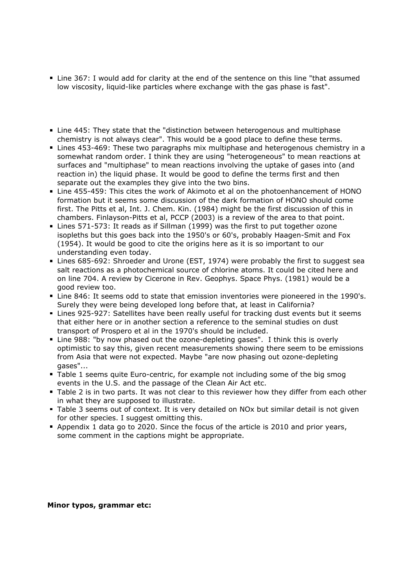- Line 367: I would add for clarity at the end of the sentence on this line "that assumed low viscosity, liquid-like particles where exchange with the gas phase is fast".
- Line 445: They state that the "distinction between heterogenous and multiphase chemistry is not always clear". This would be a good place to define these terms.
- Lines 453-469: These two paragraphs mix multiphase and heterogenous chemistry in a somewhat random order. I think they are using "heterogeneous" to mean reactions at surfaces and "multiphase" to mean reactions involving the uptake of gases into (and reaction in) the liquid phase. It would be good to define the terms first and then separate out the examples they give into the two bins.
- Line 455-459: This cites the work of Akimoto et al on the photoenhancement of HONO formation but it seems some discussion of the dark formation of HONO should come first. The Pitts et al, Int. J. Chem. Kin. (1984) might be the first discussion of this in chambers. Finlayson-Pitts et al, PCCP (2003) is a review of the area to that point.
- Lines 571-573: It reads as if Sillman (1999) was the first to put together ozone isopleths but this goes back into the 1950's or 60's, probably Haagen-Smit and Fox (1954). It would be good to cite the origins here as it is so important to our understanding even today.
- Lines 685-692: Shroeder and Urone (EST, 1974) were probably the first to suggest sea salt reactions as a photochemical source of chlorine atoms. It could be cited here and on line 704. A review by Cicerone in Rev. Geophys. Space Phys. (1981) would be a good review too.
- Line 846: It seems odd to state that emission inventories were pioneered in the 1990's. Surely they were being developed long before that, at least in California?
- **Lines 925-927: Satellites have been really useful for tracking dust events but it seems** that either here or in another section a reference to the seminal studies on dust transport of Prospero et al in the 1970's should be included.
- Line 988: "by now phased out the ozone-depleting gases". I think this is overly optimistic to say this, given recent measurements showing there seem to be emissions from Asia that were not expected. Maybe "are now phasing out ozone-depleting gases"...
- Table 1 seems quite Euro-centric, for example not including some of the big smog events in the U.S. and the passage of the Clean Air Act etc.
- **Table 2** is in two parts. It was not clear to this reviewer how they differ from each other in what they are supposed to illustrate.
- Table 3 seems out of context. It is very detailed on NOx but similar detail is not given for other species. I suggest omitting this.
- Appendix 1 data go to 2020. Since the focus of the article is 2010 and prior years, some comment in the captions might be appropriate.

## **Minor typos, grammar etc:**